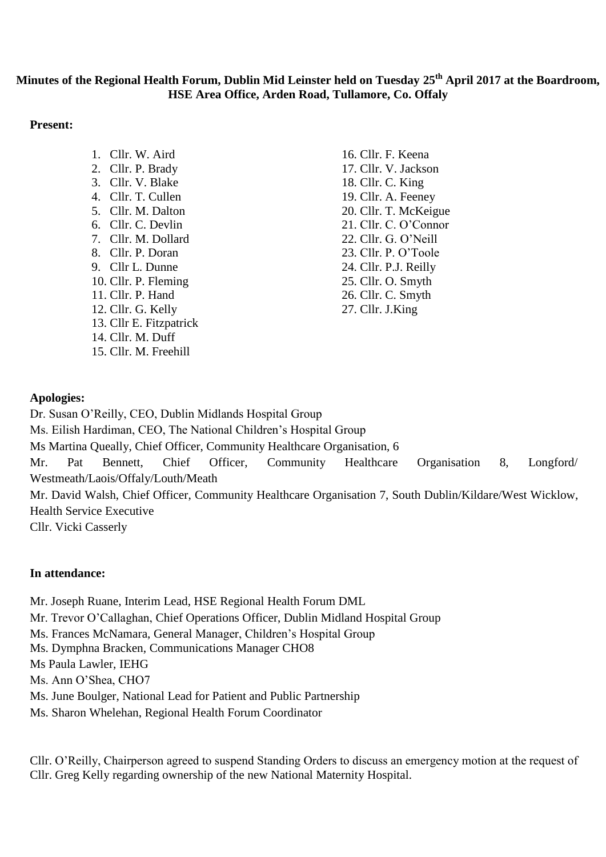# **Minutes of the Regional Health Forum, Dublin Mid Leinster held on Tuesday 25th April 2017 at the Boardroom, HSE Area Office, Arden Road, Tullamore, Co. Offaly**

#### **Present:**

1. Cllr. W. Aird 2. Cllr. P. Brady 3. Cllr. V. Blake 4. Cllr. T. Cullen 5. Cllr. M. Dalton 6. Cllr. C. Devlin 7. Cllr. M. Dollard 8. Cllr. P. Doran 9. Cllr L. Dunne 10. Cllr. P. Fleming 11. Cllr. P. Hand 12. Cllr. G. Kelly 13. Cllr E. Fitzpatrick 14. Cllr. M. Duff 15. Cllr. M. Freehill

16. Cllr. F. Keena 17. Cllr. V. Jackson 18. Cllr. C. King 19. Cllr. A. Feeney 20. Cllr. T. McKeigue 21. Cllr. C. O'Connor 22. Cllr. G. O'Neill 23. Cllr. P. O'Toole 24. Cllr. P.J. Reilly 25. Cllr. O. Smyth 26. Cllr. C. Smyth 27. Cllr. J.King

## **Apologies:**

Dr. Susan O'Reilly, CEO, Dublin Midlands Hospital Group Ms. Eilish Hardiman, CEO, The National Children's Hospital Group Ms Martina Queally, Chief Officer, Community Healthcare Organisation, 6 Mr. Pat Bennett, Chief Officer, Community Healthcare Organisation 8, Longford/ Westmeath/Laois/Offaly/Louth/Meath Mr. David Walsh, Chief Officer, Community Healthcare Organisation 7, South Dublin/Kildare/West Wicklow, Health Service Executive Cllr. Vicki Casserly

## **In attendance:**

Mr. Joseph Ruane, Interim Lead, HSE Regional Health Forum DML

Mr. Trevor O'Callaghan, Chief Operations Officer, Dublin Midland Hospital Group

Ms. Frances McNamara, General Manager, Children's Hospital Group

Ms. Dymphna Bracken, Communications Manager CHO8

Ms Paula Lawler, IEHG

Ms. Ann O'Shea, CHO7

Ms. June Boulger, National Lead for Patient and Public Partnership

Ms. Sharon Whelehan, Regional Health Forum Coordinator

Cllr. O'Reilly, Chairperson agreed to suspend Standing Orders to discuss an emergency motion at the request of Cllr. Greg Kelly regarding ownership of the new National Maternity Hospital.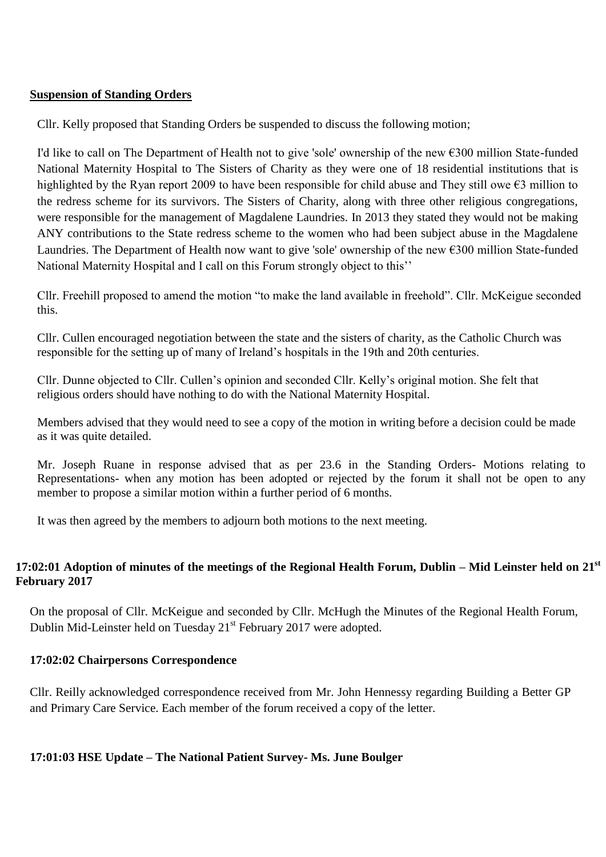#### **Suspension of Standing Orders**

Cllr. Kelly proposed that Standing Orders be suspended to discuss the following motion;

I'd like to call on The Department of Health not to give 'sole' ownership of the new €300 million State-funded National Maternity Hospital to The Sisters of Charity as they were one of 18 residential institutions that is highlighted by the Ryan report 2009 to have been responsible for child abuse and They still owe €3 million to the redress scheme for its survivors. The Sisters of Charity, along with three other religious congregations, were responsible for the management of Magdalene Laundries. In 2013 they stated they would not be making ANY contributions to the State redress scheme to the women who had been subject abuse in the Magdalene Laundries. The Department of Health now want to give 'sole' ownership of the new  $\epsilon$ 300 million State-funded National Maternity Hospital and I call on this Forum strongly object to this''

Cllr. Freehill proposed to amend the motion "to make the land available in freehold". Cllr. McKeigue seconded this.

Cllr. Cullen encouraged negotiation between the state and the sisters of charity, as the Catholic Church was responsible for the setting up of many of Ireland's hospitals in the 19th and 20th centuries.

Cllr. Dunne objected to Cllr. Cullen's opinion and seconded Cllr. Kelly's original motion. She felt that religious orders should have nothing to do with the National Maternity Hospital.

Members advised that they would need to see a copy of the motion in writing before a decision could be made as it was quite detailed.

Mr. Joseph Ruane in response advised that as per 23.6 in the Standing Orders- Motions relating to Representations- when any motion has been adopted or rejected by the forum it shall not be open to any member to propose a similar motion within a further period of 6 months.

It was then agreed by the members to adjourn both motions to the next meeting.

## **17:02:01 Adoption of minutes of the meetings of the Regional Health Forum, Dublin – Mid Leinster held on 21st February 2017**

On the proposal of Cllr. McKeigue and seconded by Cllr. McHugh the Minutes of the Regional Health Forum, Dublin Mid-Leinster held on Tuesday 21<sup>st</sup> February 2017 were adopted.

## **17:02:02 Chairpersons Correspondence**

Cllr. Reilly acknowledged correspondence received from Mr. John Hennessy regarding Building a Better GP and Primary Care Service. Each member of the forum received a copy of the letter.

## **17:01:03 HSE Update – The National Patient Survey- Ms. June Boulger**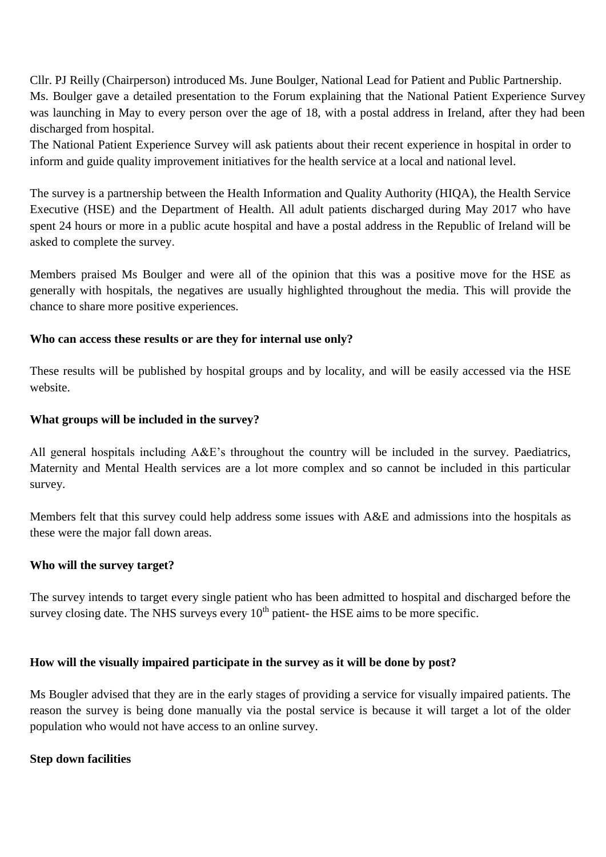Cllr. PJ Reilly (Chairperson) introduced Ms. June Boulger, National Lead for Patient and Public Partnership. Ms. Boulger gave a detailed presentation to the Forum explaining that the National Patient Experience Survey was launching in May to every person over the age of 18, with a postal address in Ireland, after they had been discharged from hospital.

The National Patient Experience Survey will ask patients about their recent experience in hospital in order to inform and guide quality improvement initiatives for the health service at a local and national level.

The survey is a partnership between the Health Information and Quality Authority (HIQA), the Health Service Executive (HSE) and the Department of Health. All adult patients discharged during May 2017 who have spent 24 hours or more in a public acute hospital and have a postal address in the Republic of Ireland will be asked to complete the survey.

Members praised Ms Boulger and were all of the opinion that this was a positive move for the HSE as generally with hospitals, the negatives are usually highlighted throughout the media. This will provide the chance to share more positive experiences.

## **Who can access these results or are they for internal use only?**

These results will be published by hospital groups and by locality, and will be easily accessed via the HSE website.

## **What groups will be included in the survey?**

All general hospitals including A&E's throughout the country will be included in the survey. Paediatrics, Maternity and Mental Health services are a lot more complex and so cannot be included in this particular survey.

Members felt that this survey could help address some issues with A&E and admissions into the hospitals as these were the major fall down areas.

## **Who will the survey target?**

The survey intends to target every single patient who has been admitted to hospital and discharged before the survey closing date. The NHS surveys every  $10<sup>th</sup>$  patient- the HSE aims to be more specific.

## **How will the visually impaired participate in the survey as it will be done by post?**

Ms Bougler advised that they are in the early stages of providing a service for visually impaired patients. The reason the survey is being done manually via the postal service is because it will target a lot of the older population who would not have access to an online survey.

## **Step down facilities**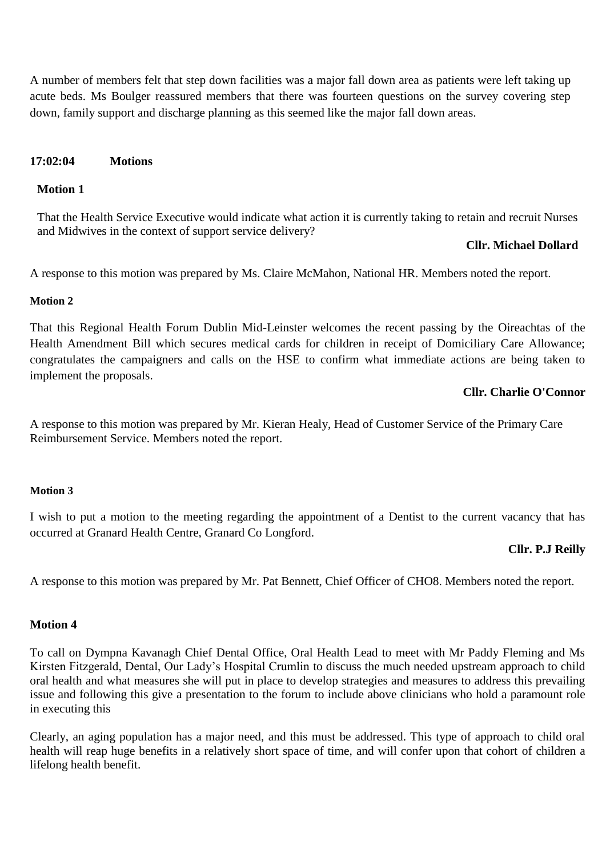A number of members felt that step down facilities was a major fall down area as patients were left taking up acute beds. Ms Boulger reassured members that there was fourteen questions on the survey covering step down, family support and discharge planning as this seemed like the major fall down areas.

#### **17:02:04 Motions**

#### **Motion 1**

That the Health Service Executive would indicate what action it is currently taking to retain and recruit Nurses and Midwives in the context of support service delivery?

#### **Cllr. Michael Dollard**

A response to this motion was prepared by Ms. Claire McMahon, National HR. Members noted the report.

#### **Motion 2**

That this Regional Health Forum Dublin Mid-Leinster welcomes the recent passing by the Oireachtas of the Health Amendment Bill which secures medical cards for children in receipt of Domiciliary Care Allowance; congratulates the campaigners and calls on the HSE to confirm what immediate actions are being taken to implement the proposals.

#### **Cllr. Charlie O'Connor**

A response to this motion was prepared by Mr. Kieran Healy, Head of Customer Service of the Primary Care Reimbursement Service. Members noted the report.

#### **Motion 3**

I wish to put a motion to the meeting regarding the appointment of a Dentist to the current vacancy that has occurred at Granard Health Centre, Granard Co Longford.

## **Cllr. P.J Reilly**

A response to this motion was prepared by Mr. Pat Bennett, Chief Officer of CHO8. Members noted the report.

#### **Motion 4**

To call on Dympna Kavanagh Chief Dental Office, Oral Health Lead to meet with Mr Paddy Fleming and Ms Kirsten Fitzgerald, Dental, Our Lady's Hospital Crumlin to discuss the much needed upstream approach to child oral health and what measures she will put in place to develop strategies and measures to address this prevailing issue and following this give a presentation to the forum to include above clinicians who hold a paramount role in executing this

Clearly, an aging population has a major need, and this must be addressed. This type of approach to child oral health will reap huge benefits in a relatively short space of time, and will confer upon that cohort of children a lifelong health benefit.